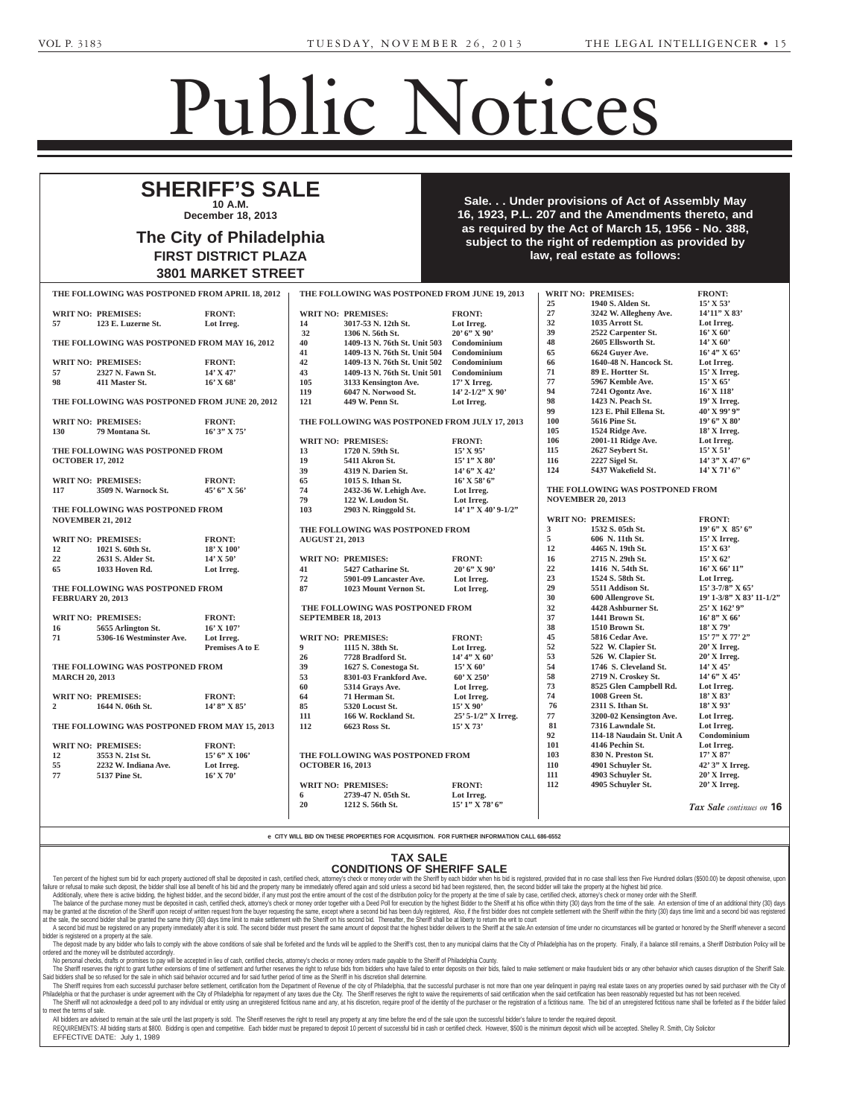Complaints

v. FRONT:

## Public Notices

Corporate Notices

Bensalem, PA 19020

## Estate Notices **NOTICE TO COUNSEL SHERIFF'S SALE**

**10 A.M. December 18, 2013** 

### Section 3162 of the Probate, Estate City of Philadelphia  $\overline{a}$  June 30, 1972 (Act No. 164) FIRST DISTRICT PLAZA of grant of letters to contain 13801 MARKET STREET personal representatives. berg & Gifford, 2605 N. Broad The City of Philadelphia & Gifford, 2605 N. Broad Street, **FIRST DISTRICT PLAZA** 19446. **3801 MARKET STREET**

**County of Sale. . . Under provisions of Act of Assembly May**  $b = 16.1923$ . P.L. 207 and the Amen visions of the Pennsylvania Business Corporation Law of 1988. Rothberg and the right of redempt subject to the right of redempt 3103 Hulmeville Road  $\mathfrak s$ , P.L. 207 and the Amen as required by the Act of March 15, 1956 - No. 388, ct to the right of redempt **demandange her name to be her notified and the her name to be the set of the manner of the manner of the manner of the manda FLITTERMAN.** The Court of Court has been civil division of the contract of the contract of the contract of the contract of the contract of the contract<br>Contract of the contract of the contract of the contract of the contract of the contract of the contract of th 16, 1923, P.L. 207 and the Amendments thereto, and U.S. BANK NATIONAL ASSOCIATION AND LOCAL ASSOCIATION OF THE U.S. BANK NATIONAL ASSOCIATION OF THE U.S. BANK NA subject to the right of redemption as provided by **the supplication law, real estate as follows: law, real estate as follows:** Home equity loan trust loan trust loan

Name Change

P.M., in Room No. 478, City Hall,  $9.2013$  WDIT NO. DDEMISES.

|                          | <b>WRIT NO: PREMISES:</b>                      | <b>FRONT:</b>          |                           | <b>WRIT NO: PREMISES:</b>                      | <b>FRONT:</b>       |
|--------------------------|------------------------------------------------|------------------------|---------------------------|------------------------------------------------|---------------------|
| 57                       | 123 E. Luzerne St.                             | Lot Irreg.             | 14                        | 3017-53 N. 12th St.                            | Lot Irreg.          |
|                          |                                                |                        | 32                        | 1306 N. 56th St.                               | $20'6''$ X 90'      |
|                          | THE FOLLOWING WAS POSTPONED FROM MAY 16, 2012  |                        | 40                        | 1409-13 N. 76th St. Unit 503                   | Condominium         |
|                          |                                                |                        | 41                        | 1409-13 N. 76th St. Unit 504                   | Condominium         |
|                          | <b>WRIT NO: PREMISES:</b>                      | <b>FRONT:</b>          | 42                        | 1409-13 N. 76th St. Unit 502                   | Condominium         |
| 57                       | 2327 N. Fawn St.                               | $14'$ X 47'            | 43                        | 1409-13 N. 76th St. Unit 501                   | Condominium         |
| 98                       | 411 Master St.                                 | $16'$ X 68'            | 105                       | 3133 Kensington Ave.                           | 17' X Irreg.        |
|                          |                                                |                        | 119                       | 6047 N. Norwood St.                            | 14' 2-1/2" X 90'    |
|                          | THE FOLLOWING WAS POSTPONED FROM JUNE 20, 2012 |                        | 121                       | 449 W. Penn St.                                | Lot Irreg.          |
|                          | <b>WRIT NO: PREMISES:</b>                      | <b>FRONT:</b>          |                           | THE FOLLOWING WAS POSTPONED FROM JULY 17, 2013 |                     |
| 130                      | 79 Montana St.                                 | $16'3''$ X 75'         |                           |                                                |                     |
|                          |                                                |                        |                           | <b>WRIT NO: PREMISES:</b>                      | <b>FRONT:</b>       |
|                          | THE FOLLOWING WAS POSTPONED FROM               |                        | 13                        | 1720 N. 59th St.                               | $15'$ X 95'         |
| <b>OCTOBER 17, 2012</b>  |                                                |                        | 19                        | 5411 Akron St.                                 | $15'1''$ X 80'      |
|                          |                                                |                        | 39                        | 4319 N. Darien St.                             | 14' 6''  X 42'      |
|                          | <b>WRIT NO: PREMISES:</b>                      | <b>FRONT:</b>          | 65                        | 1015 S. Ithan St.                              | $16'$ X 58' 6"      |
| 117                      | 3509 N. Warnock St.                            | $45'6''$ X 56'         | 74                        | 2432-36 W. Lehigh Ave.                         | Lot Irreg.          |
|                          |                                                |                        | 79                        | 122 W. Loudon St.                              | Lot Irreg.          |
| <b>NOVEMBER 21, 2012</b> | THE FOLLOWING WAS POSTPONED FROM               |                        | 103                       | 2903 N. Ringgold St.                           | 14' 1" X 40' 9-1/2" |
|                          |                                                |                        |                           | THE FOLLOWING WAS POSTPONED FROM               |                     |
|                          | <b>WRIT NO: PREMISES:</b>                      | <b>FRONT:</b>          | <b>AUGUST 21, 2013</b>    |                                                |                     |
| 12                       | 1021 S. 60th St.                               | $18'$ X $100'$         |                           |                                                |                     |
| 22                       | 2631 S. Alder St.                              | $14'$ X 50'            |                           | <b>WRIT NO: PREMISES:</b>                      | <b>FRONT:</b>       |
| 65                       | 1033 Hoven Rd.                                 | Lot Irreg.             | 41                        | 5427 Catharine St.                             | $20'6''$ X 90'      |
|                          |                                                |                        | 72                        | 5901-09 Lancaster Ave.                         | Lot Irreg.          |
| <b>FEBRUARY 20, 2013</b> | THE FOLLOWING WAS POSTPONED FROM               |                        | 87                        | 1023 Mount Vernon St.                          | Lot Irreg.          |
|                          |                                                |                        |                           | THE FOLLOWING WAS POSTPONED FROM               |                     |
|                          | <b>WRIT NO: PREMISES:</b>                      | <b>FRONT:</b>          | <b>SEPTEMBER 18, 2013</b> |                                                |                     |
| 16                       | 5655 Arlington St.                             | $16'$ X $107'$         |                           |                                                |                     |
| 71                       | 5306-16 Westminster Ave.                       | Lot Irreg.             |                           | <b>WRIT NO: PREMISES:</b>                      | <b>FRONT:</b>       |
|                          |                                                | <b>Premises A to E</b> | 9                         | 1115 N. 38th St.                               | Lot Irreg.          |
|                          |                                                |                        | 26                        | 7728 Bradford St.                              | $14' 4''$ X 60'     |
|                          | THE FOLLOWING WAS POSTPONED FROM               |                        | 39                        | 1627 S. Conestoga St.                          | 15' X 60'           |
| <b>MARCH 20, 2013</b>    |                                                |                        | 53                        | 8301-03 Frankford Ave.                         | 60' X 250'          |
|                          |                                                |                        | 60                        | 5314 Grays Ave.                                | Lot Irreg.          |
|                          | <b>WRIT NO: PREMISES:</b>                      | <b>FRONT:</b>          | 64                        | 71 Herman St.                                  | Lot Irreg.          |
| $\mathbf{2}$             | 1644 N. 06th St.                               | $14'8''$ X 85'         | 85                        | 5320 Locust St.                                | $15'$ X 90'         |
|                          |                                                |                        | 111                       | 166 W. Rockland St.                            | 25' 5-1/2" X Irreg. |
|                          | THE FOLLOWING WAS POSTPONED FROM MAY 15, 2013  |                        | 112                       | 6623 Ross St.                                  | $15'$ X 73'         |
|                          | <b>WRIT NO: PREMISES:</b>                      | <b>FRONT:</b>          |                           |                                                |                     |
| 12                       | 3553 N. 21st St.                               | 15' 6" X 106'          |                           | THE FOLLOWING WAS POSTPONED FROM               |                     |
| 55                       | 2232 W. Indiana Ave.                           | Lot Irreg.             | <b>OCTOBER 16, 2013</b>   |                                                |                     |
| 77                       | <b>5137 Pine St.</b>                           | $16'$ X 70'            |                           |                                                |                     |
|                          |                                                |                        |                           | <b>WRIT NO: PREMISES:</b>                      | <b>FRONT:</b>       |
|                          |                                                |                        | 6                         | 2739-47 N. 05th St.                            | Lot Irreg.          |

**BKG** CONSTRUCTION INC.

Upper Darby, Paris, Paris, Paris, Paris, Paris, Paris, Paris, Paris, Paris, Paris, Paris, Paris, Paris, Paris,

ness Corporation Law of 1988.

Market Street, Ste. 2820, Philadelphia, Panamana, Panamana, Panamana, Panamana, Panamana, Panamana, Panamana, Panamana, Panamana, Panamana, Pa Lipsky, Attorney, Lipsky and Brandt, 1101 Market Street, Street, Street, Street, Street, Street, Street, Ste. 2820, Philadelphia, PA 19107-

Penn Valley, PA 19072.

<del>29</del>

|                                  |                                                |                       | 25              |
|----------------------------------|------------------------------------------------|-----------------------|-----------------|
|                                  | <b>WRIT NO: PREMISES:</b>                      | <b>FRONT:</b>         | 27              |
| 14                               | 3017-53 N. 12th St.                            | Lot Irreg.            | 32              |
| 32                               | 1306 N. 56th St.                               | $20'6''$ X 90'        | 39              |
| 40                               | 1409-13 N. 76th St. Unit 503                   | Condominium           | 48              |
| 41                               | 1409-13 N. 76th St. Unit 504                   | Condominium           | 65              |
| 42                               | 1409-13 N. 76th St. Unit 502                   | Condominium           | 66              |
| 43                               | 1409-13 N. 76th St. Unit 501                   | Condominium           | 71              |
| 105                              | 3133 Kensington Ave.                           | 17' X Irreg.          | 77              |
| 119                              | 6047 N. Norwood St.                            | 14' 2-1/2" X 90'      | 94              |
| 121                              | 449 W. Penn St.                                | Lot Irreg.            | 98              |
|                                  |                                                |                       | 99              |
|                                  | THE FOLLOWING WAS POSTPONED FROM JULY 17, 2013 |                       | 100             |
|                                  |                                                |                       | 105             |
|                                  | <b>WRIT NO: PREMISES:</b>                      | <b>FRONT:</b>         | 106             |
| 13                               | 1720 N. 59th St.                               | $15'$ X 95'           | 115             |
| 19                               | <b>5411 Akron St.</b>                          | $15'1''$ X 80'        | 116             |
| 39                               | 4319 N. Darien St.                             | 14' 6''  X 42'        | 124             |
| 65                               | 1015 S. Ithan St.                              | $16'$ X 58' 6"        |                 |
| 74                               | 2432-36 W. Lehigh Ave.                         | Lot Irreg.            | <b>THE FOLL</b> |
| 79                               | 122 W. Loudon St.                              | Lot Irreg.            | <b>NOVEMBE</b>  |
| 103                              | 2903 N. Ringgold St.                           | $14'$ 1" X 40' 9-1/2" |                 |
|                                  |                                                |                       | <b>WRIT NO:</b> |
|                                  | THE FOLLOWING WAS POSTPONED FROM               |                       | 3               |
| <b>AUGUST 21, 2013</b>           |                                                |                       | 5               |
|                                  |                                                |                       | 12              |
|                                  | <b>WRIT NO: PREMISES:</b>                      | <b>FRONT:</b>         | 16              |
| 41                               | 5427 Catharine St.                             | $20'6''$ X 90'        | 22              |
| 72                               | 5901-09 Lancaster Ave.                         | Lot Irreg.            | 23              |
| 87                               | 1023 Mount Vernon St.                          | Lot Irreg.            | 29              |
|                                  |                                                |                       | 30              |
|                                  | THE FOLLOWING WAS POSTPONED FROM               |                       | 32              |
|                                  | <b>SEPTEMBER 18, 2013</b>                      |                       | 37              |
|                                  |                                                |                       | 38              |
|                                  | <b>WRIT NO: PREMISES:</b>                      | <b>FRONT:</b>         | 45              |
| 9                                | 1115 N. 38th St.                               | Lot Irreg.            | 52              |
| $26^{\circ}$                     | 7728 Bradford St.                              | $14' 4''$ X 60'       | 53              |
| 39                               | 1627 S. Conestoga St.                          | 15' X 60'             | 54              |
| 53                               | 8301-03 Frankford Ave.                         | $60'$ X 250'          | 58              |
| 60                               | 5314 Grays Ave.                                | Lot Irreg.            | 73              |
| 64                               | 71 Herman St.                                  | Lot Irreg.            | 74              |
| 85                               | 5320 Locust St.                                | $15'$ X 90'           | 76              |
| 111                              | 166 W. Rockland St.                            | 25' 5-1/2" X Irreg.   | 77              |
| 112                              | 6623 Ross St.                                  | $15'$ X 73'           | 81              |
|                                  |                                                |                       | 92              |
|                                  |                                                |                       | 101             |
| THE FOLLOWING WAS POSTPONED FROM | 103                                            |                       |                 |
| <b>OCTOBER 16, 2013</b>          | 110                                            |                       |                 |
|                                  |                                                |                       | 111             |
|                                  | <b>WRIT NO: PREMISES:</b>                      | <b>FRONT:</b>         | 112             |
| 6                                | 2739-47 N. 05th St.                            | Lot Irreg.            |                 |
| 20                               | 1212 S. 56th St.                               | $15'1''$ X 78' 6"     |                 |
|                                  |                                                |                       |                 |

| 9, 2013    |                                  | WRIT NO: PREMISES:                           | <b>FRONT:</b>                             |  |  |  |
|------------|----------------------------------|----------------------------------------------|-------------------------------------------|--|--|--|
|            | 25                               | 1940 S. Alden St.                            | 15' X 53'                                 |  |  |  |
|            | 27                               | 3242 W. Allegheny Ave.                       | 14'11" X 83'                              |  |  |  |
|            | 32                               | 1035 Arrott St.                              | Lot Irreg.                                |  |  |  |
|            | 39                               | 2522 Carpenter St.                           | $16'$ X 60'                               |  |  |  |
| n          | 48                               | 2605 Ellsworth St.                           | 14' X 60'                                 |  |  |  |
| n          | 65                               | 6624 Guyer Ave.                              | $16'$ 4" X 65"                            |  |  |  |
| n          | 66                               | 1640-48 N. Hancock St.                       | Lot Irreg.                                |  |  |  |
| n          | 71                               | 89 E. Hortter St.                            | $15'$ X Irreg.                            |  |  |  |
|            | 77                               | 5967 Kemble Ave.                             | 15' X 65'                                 |  |  |  |
| O,         | 94                               | 7241 Ogontz Ave.                             | $16'$ X $118'$                            |  |  |  |
|            | 98                               | 1423 N. Peach St.                            | 19' X Irreg.                              |  |  |  |
|            | 99                               | 123 E. Phil Ellena St.                       | $40'$ X 99' 9"                            |  |  |  |
| 7,2013     | 100                              | 5616 Pine St.                                | $19'6''$ X 80'                            |  |  |  |
|            | 105                              | 1524 Ridge Ave.                              | 18' X Irreg.                              |  |  |  |
|            | 106                              | 2001-11 Ridge Ave.                           | Lot Irreg.                                |  |  |  |
|            | 115                              | 2627 Seybert St.                             | 15' X 51'                                 |  |  |  |
|            | 116                              | 2227 Sigel St.                               | $14'$ 3" X 47' 6"                         |  |  |  |
|            | 124                              | 5437 Wakefield St.                           | $14'$ X 71' 6"                            |  |  |  |
|            |                                  |                                              |                                           |  |  |  |
|            | THE FOLLOWING WAS POSTPONED FROM |                                              |                                           |  |  |  |
|            | <b>NOVEMBER 20, 2013</b>         |                                              |                                           |  |  |  |
| $9 - 1/2"$ |                                  |                                              |                                           |  |  |  |
|            |                                  | <b>WRIT NO: PREMISES:</b>                    | <b>FRONT:</b>                             |  |  |  |
|            | 3                                | 1532 S. 05th St.                             | $19'6''$ X $85'6''$                       |  |  |  |
|            | 5                                | 606 N. 11th St.                              | $15'$ X Irreg.                            |  |  |  |
|            | 12                               | 4465 N. 19th St.                             | 15' X 63'                                 |  |  |  |
|            | 16                               | 2715 N. 29th St.                             | 15' X 62'                                 |  |  |  |
|            | 22                               | 1416 N. 54th St.                             | $16'$ X $66'$ $11'$                       |  |  |  |
|            | 23                               | 1524 S. 58th St.                             | Lot Irreg.                                |  |  |  |
|            | 29                               | 5511 Addison St.                             |                                           |  |  |  |
|            | 30                               |                                              | 15' 3-7/8" X 65'                          |  |  |  |
|            | 32                               | 600 Allengrove St.<br>4428 Ashburner St.     | 19' 1-3/8" X 83' 11-1/2"<br>25' X 162' 9" |  |  |  |
|            | 37                               | 1441 Brown St.                               |                                           |  |  |  |
|            | 38                               | 1510 Brown St.                               | $16'8''$ X 66'<br>$18'$ X 79'             |  |  |  |
|            | 45                               | 5816 Cedar Ave.                              | 15' 7" X 77' 2"                           |  |  |  |
|            | 52                               |                                              | 20' X Irreg.                              |  |  |  |
|            | 53                               | 522 W. Clapier St.                           |                                           |  |  |  |
|            | 54                               | 526 W. Clapier St.<br>1746 S. Cleveland St.  | 20' X Irreg.<br>$14'$ X 45'               |  |  |  |
|            | 58                               |                                              | $14'6''$ X 45'                            |  |  |  |
|            | 73                               | 2719 N. Croskey St.                          |                                           |  |  |  |
|            | 74                               | 8525 Glen Campbell Rd.<br>1008 Green St.     | Lot Irreg.                                |  |  |  |
|            | 76                               |                                              | $18'$ X $83'$                             |  |  |  |
|            |                                  | 2311 S. Ithan St.                            | $18'$ X 93'                               |  |  |  |
| Irreg.     | 77                               | 3200-02 Kensington Ave.<br>7316 Lawndale St. | Lot Irreg.                                |  |  |  |
|            | 81                               |                                              | Lot Irreg.                                |  |  |  |
|            | 92                               | 114-18 Naudain St. Unit A                    | Condominium                               |  |  |  |
|            | 101                              | 4146 Pechin St.                              | Lot Irreg.                                |  |  |  |
|            | 103                              | 830 N. Preston St.                           | $17'$ X 87'                               |  |  |  |
|            | 110                              | 4901 Schuyler St.                            | 42' 3" X Irreg.                           |  |  |  |
|            | 111                              | 4903 Schuyler St.                            | $20'$ X Irreg.                            |  |  |  |
|            | 112                              | 4905 Schuyler St.                            | $20'$ X Irreg.                            |  |  |  |
| "          |                                  |                                              | Tax Sale continues on 16                  |  |  |  |
|            |                                  |                                              |                                           |  |  |  |

<u>No Fee.</u>

**Philadelphia Bar Association 1101 Market Street, 11th Floor**

been incorporated under the proe CITY WILL BID ON THE 1988. 11-26-1\* **e CITY WILL BID ON THESE PROPERTIES FOR ACQUISITION. FOR FURTHER INFORMATION CALL 686-6552**

 $\frac{1}{2}$ provisions of the Pennsylvanian  $\frac{1}{2}$ 

## **TAX SALE CONDITIONS OF SHERIFF SALE**

Ten percent of the highest sum bid for each property auctioned off shall be deposited in cash, certified check, attorney's check of money to the State of the State of the State of the State of the State of the State of the failure or refusal to make such deposit, the bidder shall lose all benefit of his bid and the property many be immediately offered again and sold unless a second bid had been registered, then, the second bidder will take t LLC

Additionally, where there is active bidding, the highest bidder, and the second bidder, if any must poset he entire amount of the cost of the distribution policy for the property at the time of sale by case, certified chec Ine balance of the purchase money must be deposited in cash, certified check, attorneys check of money order together with a Deed Poll for execution by the highest Bidder to the Sheriff at his office with ning (30) days fr at the sale, the second bidder shall be granted the same thirty (30) days time limit to make settlement with the Sheriff on his second bid. Thereafter, the Sheriff shall be at liberty to return the writ to court at the sal Additionally, where there is active bidding, the highest bidder, and the second bidder, if any must post the entire amount of the cost of the distribution policy for the property at the time of sale by case, certified chec The balance of the purchase money must be deposited in cash, certified check, attorney's check or money order together with a Deed Poll for execution by the highest Bidder to the Sheriff at his office within thirty (30) da

A second bid must be registered on any property immediately after it is sold. The second bidder must present the same amount of deposit that the highest bidder delivers to the Sheriff at the sale. An extension of time unde In the Anasta Condition of the Analytic Property at the sale. stand the deposit made by any bidder who fails to comply with the above conditions of sale shall be forfeited and the funded in The deposit made by any bidder who fails to comply with the above conditions of sale shall be is hereby given that on November  $\mathbf{u}$   $\mathbf{h}$   $\mathbf{v}$   $\mathbf{v}$   $\mathbf{v}$   $\mathbf{v}$   $\mathbf{v}$   $\mathbf{v}$   $\mathbf{v}$   $\mathbf{v}$   $\mathbf{v}$   $\mathbf{v}$   $\mathbf{v}$   $\mathbf{v}$   $\mathbf{v}$   $\mathbf{v}$   $\mathbf{v}$   $\mathbf{v}$   $\mathbf{v}$   $\mathbf{v}$   $\mathbf{v}$   $\mathbf{v}$   $\mathbf{v}$   $\mathbf{v}$   $\mathbf{$  $3000$  and  $300$  and  $300$  and  $300$  and  $300$  and  $300$  and  $300$  and  $300$  and  $300$  and  $300$  and  $300$  and  $300$  and  $300$  and  $300$  and  $300$  and  $300$  and  $300$  and  $300$  and  $300$  and  $300$  and  $300$  and  $300$  and

ordered and the money will be distributed accordingly. ordered and the money will be distributed accordingly.<br>No personal checks, drafts or promises to pay will be accepted in lieu of cash, certified checks, attorney's checks or money orders made payable to the Sheriff of Phil or sale shall be fortefled and the tu ill be applied to the Sheriff's cost, then to any municipal claims that the City of Philadelphia has on the property. Finally, if a balance still remains, a Sheriff Distribution Policy will be The deposit made by any bidder who fails to comply with the above conditions of sale shall be forfeited and the funds will be applied to the Sheriff's cost, then to any municipal claims that the City of Philadelphia has on 11-26-1\*

here to pay will be accepted in fied of cash, centified criecks, adoptey's criecks of hioney orders made payable to the Shellin of Finadelphia Great from the Shellin of Finadelphia Great from Shellin or Finadelphia Great f **Kimberly Brown-Flinty Property Contract Community**<br>If in his discretion shall determine. The Sheriff reserves the nght to grant turner extensions of time of settlement and turner reserves the nght to retuse bids from bidders who have ratile to enter deposits on ther bids, failed to make settlement or make frat

Philadelphia or that the purchaser is under agreement with the City of Philadelphia for repayment of any taxes due the City. The Sheriff reserves the right to waive the requirements of said certification when the said cert The Sheriff will not acknowledge a deed poll to any individual or entity using an unregistered fictitious name and any, at his discretion, require proof of the identity of the purchaser or the registration of a fictitious to meet the terms of sale. The Sheriff requires from each successful purchaser before settlement, certification from the Department of Revenue of the city of Philadelphia, that the successful purchaser is not more than one year delinquent in paying

All bidders are advised to remain at the sale until the REQUIREMENTS: All bidding starts at \$800. Bidding is open and competitive. Each bidder must be prepared to deposit 10 percent of successful bid in cash or certified check. However, \$500 is the minimum deposit which will be EFFECTIVE DATE: July 1, 1989 All bidders are advised to remain at the sale until the last property is sold. The Sheriff reserves the right to resell any property at any time before the end of the sale upon the successful bidder's failure to tender the

ed.